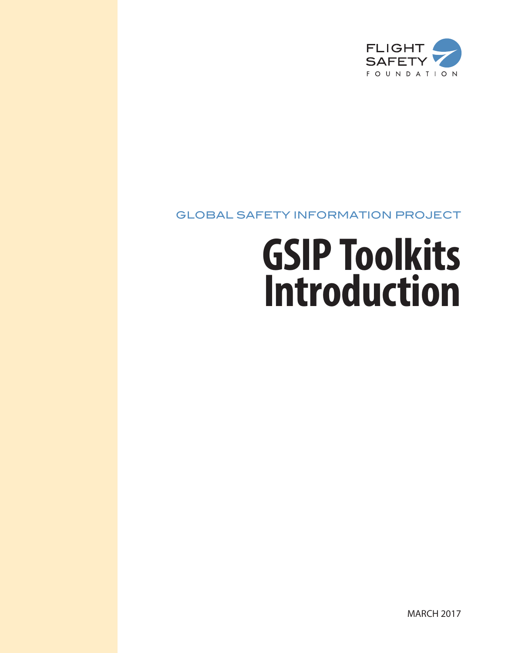

## GLOBAL SAFETY INFORMATION PROJECT

# **GSIP Toolkits Introduction**

MARCH 2017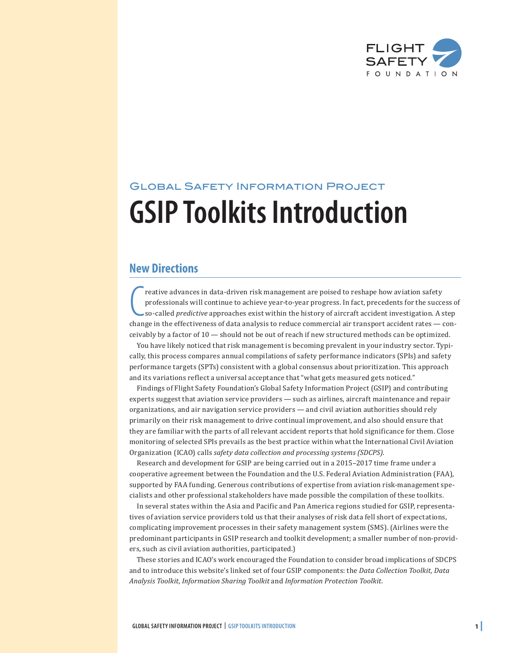

# Global Safety Information Project **GSIP Toolkits Introduction**

### **New Directions**

Freative advances in data-driven risk management are poised to reshape how aviation safety<br>professionals will continue to achieve year-to-year progress. In fact, precedents for the success c<br>so-called *predictive* approach reative advances in data-driven risk management are poised to reshape how aviation safety professionals will continue to achieve year-to-year progress. In fact, precedents for the success of so-called *predictive* approaches exist within the history of aircraft accident investigation. A step ceivably by a factor of 10 — should not be out of reach if new structured methods can be optimized.

You have likely noticed that risk management is becoming prevalent in your industry sector. Typically, this process compares annual compilations of safety performance indicators (SPIs) and safety performance targets (SPTs) consistent with a global consensus about prioritization. This approach and its variations reflect a universal acceptance that "what gets measured gets noticed."

Findings of Flight Safety Foundation's Global Safety Information Project (GSIP) and contributing experts suggest that aviation service providers — such as airlines, aircraft maintenance and repair organizations, and air navigation service providers — and civil aviation authorities should rely primarily on their risk management to drive continual improvement, and also should ensure that they are familiar with the parts of all relevant accident reports that hold significance for them. Close monitoring of selected SPIs prevails as the best practice within what the International Civil Aviation Organization (ICAO) calls *safety data collection and processing systems (SDCPS)*.

Research and development for GSIP are being carried out in a 2015–2017 time frame under a cooperative agreement between the Foundation and the U.S. Federal Aviation Administration (FAA), supported by FAA funding. Generous contributions of expertise from aviation risk-management specialists and other professional stakeholders have made possible the compilation of these toolkits.

In several states within the Asia and Pacific and Pan America regions studied for GSIP, representatives of aviation service providers told us that their analyses of risk data fell short of expectations, complicating improvement processes in their safety management system (SMS). (Airlines were the predominant participants in GSIP research and toolkit development; a smaller number of non-providers, such as civil aviation authorities, participated.)

These stories and ICAO's work encouraged the Foundation to consider broad implications of SDCPS and to introduce this website's linked set of four GSIP components: the *Data Collection Toolkit, Data Analysis Toolkit, Information Sharing Toolkit* and *Information Protection Toolkit.*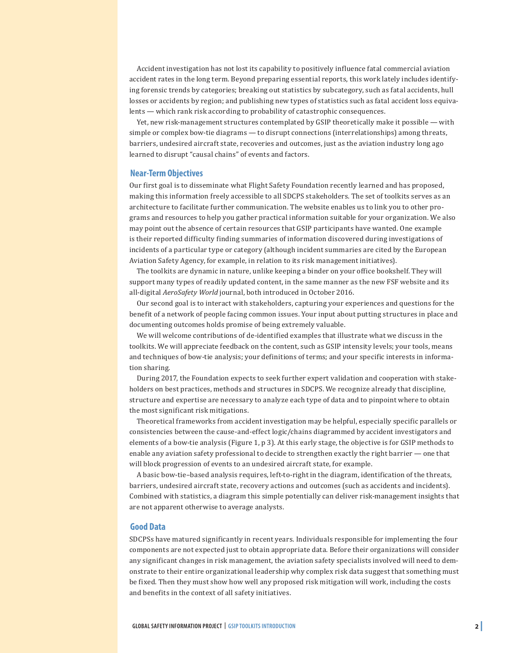Accident investigation has not lost its capability to positively influence fatal commercial aviation accident rates in the long term. Beyond preparing essential reports, this work lately includes identifying forensic trends by categories; breaking out statistics by subcategory, such as fatal accidents, hull losses or accidents by region; and publishing new types of statistics such as fatal accident loss equivalents — which rank risk according to probability of catastrophic consequences.

Yet, new risk-management structures contemplated by GSIP theoretically make it possible — with simple or complex bow-tie diagrams — to disrupt connections (interrelationships) among threats, barriers, undesired aircraft state, recoveries and outcomes, just as the aviation industry long ago learned to disrupt "causal chains" of events and factors.

#### **Near-Term Objectives**

Our first goal is to disseminate what Flight Safety Foundation recently learned and has proposed, making this information freely accessible to all SDCPS stakeholders. The set of toolkits serves as an architecture to facilitate further communication. The website enables us to link you to other programs and resources to help you gather practical information suitable for your organization. We also may point out the absence of certain resources that GSIP participants have wanted. One example is their reported difficulty finding summaries of information discovered during investigations of incidents of a particular type or category (although incident summaries are cited by the European Aviation Safety Agency, for example, in relation to its risk management initiatives).

The toolkits are dynamic in nature, unlike keeping a binder on your office bookshelf. They will support many types of readily updated content, in the same manner as the new FSF website and its all-digital *AeroSafety World* journal, both introduced in October 2016.

Our second goal is to interact with stakeholders, capturing your experiences and questions for the benefit of a network of people facing common issues. Your input about putting structures in place and documenting outcomes holds promise of being extremely valuable.

We will welcome contributions of de-identified examples that illustrate what we discuss in the toolkits. We will appreciate feedback on the content, such as GSIP intensity levels; your tools, means and techniques of bow-tie analysis; your definitions of terms; and your specific interests in information sharing.

During 2017, the Foundation expects to seek further expert validation and cooperation with stakeholders on best practices, methods and structures in SDCPS. We recognize already that discipline, structure and expertise are necessary to analyze each type of data and to pinpoint where to obtain the most significant risk mitigations.

Theoretical frameworks from accident investigation may be helpful, especially specific parallels or consistencies between the cause-and-effect logic/chains diagrammed by accident investigators and elements of a bow-tie analysis (Figure 1, p 3). At this early stage, the objective is for GSIP methods to enable any aviation safety professional to decide to strengthen exactly the right barrier — one that will block progression of events to an undesired aircraft state, for example.

A basic bow-tie–based analysis requires, left-to-right in the diagram, identification of the threats, barriers, undesired aircraft state, recovery actions and outcomes (such as accidents and incidents). Combined with statistics, a diagram this simple potentially can deliver risk-management insights that are not apparent otherwise to average analysts.

#### **Good Data**

SDCPSs have matured significantly in recent years. Individuals responsible for implementing the four components are not expected just to obtain appropriate data. Before their organizations will consider any significant changes in risk management, the aviation safety specialists involved will need to demonstrate to their entire organizational leadership why complex risk data suggest that something must be fixed. Then they must show how well any proposed risk mitigation will work, including the costs and benefits in the context of all safety initiatives.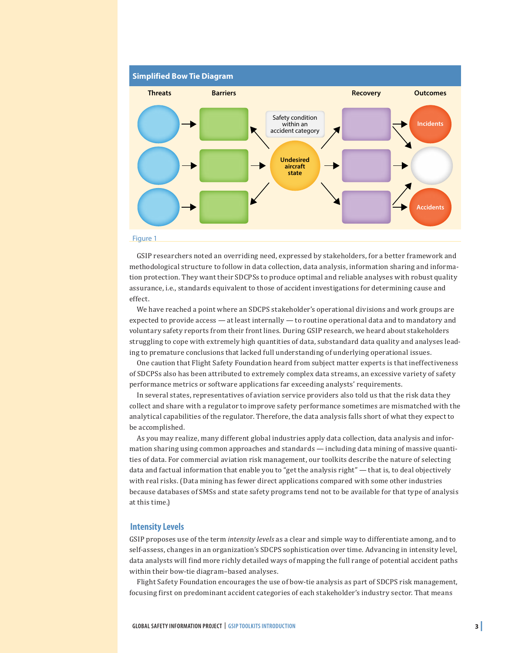

#### Figure 1

GSIP researchers noted an overriding need, expressed by stakeholders, for a better framework and methodological structure to follow in data collection, data analysis, information sharing and information protection. They want their SDCPSs to produce optimal and reliable analyses with robust quality assurance, i.e., standards equivalent to those of accident investigations for determining cause and effect.

We have reached a point where an SDCPS stakeholder's operational divisions and work groups are expected to provide access — at least internally — to routine operational data and to mandatory and voluntary safety reports from their front lines. During GSIP research, we heard about stakeholders struggling to cope with extremely high quantities of data, substandard data quality and analyses leading to premature conclusions that lacked full understanding of underlying operational issues.

One caution that Flight Safety Foundation heard from subject matter experts is that ineffectiveness of SDCPSs also has been attributed to extremely complex data streams, an excessive variety of safety performance metrics or software applications far exceeding analysts' requirements.

In several states, representatives of aviation service providers also told us that the risk data they collect and share with a regulator to improve safety performance sometimes are mismatched with the analytical capabilities of the regulator. Therefore, the data analysis falls short of what they expect to be accomplished.

As you may realize, many different global industries apply data collection, data analysis and information sharing using common approaches and standards — including data mining of massive quantities of data. For commercial aviation risk management, our toolkits describe the nature of selecting data and factual information that enable you to "get the analysis right" — that is, to deal objectively with real risks. (Data mining has fewer direct applications compared with some other industries because databases of SMSs and state safety programs tend not to be available for that type of analysis at this time.)

#### **Intensity Levels**

GSIP proposes use of the term *intensity levels* as a clear and simple way to differentiate among, and to self-assess, changes in an organization's SDCPS sophistication over time. Advancing in intensity level, data analysts will find more richly detailed ways of mapping the full range of potential accident paths within their bow-tie diagram–based analyses.

Flight Safety Foundation encourages the use of bow-tie analysis as part of SDCPS risk management, focusing first on predominant accident categories of each stakeholder's industry sector. That means